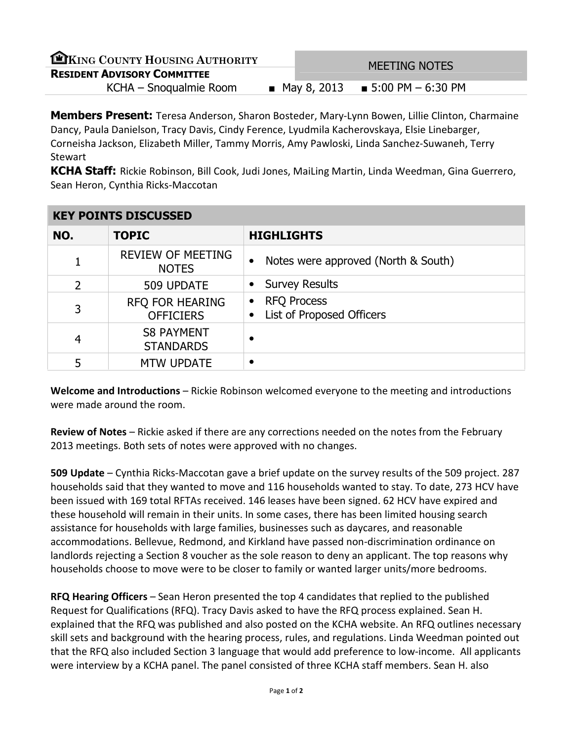| EKING COUNTY HOUSING AUTHORITY     |  |               | MEETING NOTES         |  |
|------------------------------------|--|---------------|-----------------------|--|
| <b>RESIDENT ADVISORY COMMITTEE</b> |  |               |                       |  |
| KCHA – Snoqualmie Room             |  | ■ May 8, 2013 | ■ 5:00 PM $-$ 6:30 PM |  |

**Members Present:** Teresa Anderson, Sharon Bosteder, Mary-Lynn Bowen, Lillie Clinton, Charmaine Dancy, Paula Danielson, Tracy Davis, Cindy Ference, Lyudmila Kacherovskaya, Elsie Linebarger, Corneisha Jackson, Elizabeth Miller, Tammy Morris, Amy Pawloski, Linda Sanchez-Suwaneh, Terry **Stewart** 

KCHA Staff: Rickie Robinson, Bill Cook, Judi Jones, MaiLing Martin, Linda Weedman, Gina Guerrero, Sean Heron, Cynthia Ricks-Maccotan

| <b>KEY POINTS DISCUSSED</b> |                                          |                                                              |  |
|-----------------------------|------------------------------------------|--------------------------------------------------------------|--|
| NO.                         | <b>TOPIC</b>                             | <b>HIGHLIGHTS</b>                                            |  |
|                             | <b>REVIEW OF MEETING</b><br><b>NOTES</b> | Notes were approved (North & South)                          |  |
| 2                           | 509 UPDATE                               | <b>Survey Results</b>                                        |  |
| 3                           | RFQ FOR HEARING<br><b>OFFICIERS</b>      | <b>RFQ Process</b><br>$\bullet$<br>List of Proposed Officers |  |
| 4                           | <b>S8 PAYMENT</b><br><b>STANDARDS</b>    |                                                              |  |
| 5                           | <b>MTW UPDATE</b>                        |                                                              |  |

Welcome and Introductions – Rickie Robinson welcomed everyone to the meeting and introductions were made around the room.

Review of Notes - Rickie asked if there are any corrections needed on the notes from the February 2013 meetings. Both sets of notes were approved with no changes.

509 Update – Cynthia Ricks-Maccotan gave a brief update on the survey results of the 509 project. 287 households said that they wanted to move and 116 households wanted to stay. To date, 273 HCV have been issued with 169 total RFTAs received. 146 leases have been signed. 62 HCV have expired and these household will remain in their units. In some cases, there has been limited housing search assistance for households with large families, businesses such as daycares, and reasonable accommodations. Bellevue, Redmond, and Kirkland have passed non-discrimination ordinance on landlords rejecting a Section 8 voucher as the sole reason to deny an applicant. The top reasons why households choose to move were to be closer to family or wanted larger units/more bedrooms.

RFQ Hearing Officers – Sean Heron presented the top 4 candidates that replied to the published Request for Qualifications (RFQ). Tracy Davis asked to have the RFQ process explained. Sean H. explained that the RFQ was published and also posted on the KCHA website. An RFQ outlines necessary skill sets and background with the hearing process, rules, and regulations. Linda Weedman pointed out that the RFQ also included Section 3 language that would add preference to low-income. All applicants were interview by a KCHA panel. The panel consisted of three KCHA staff members. Sean H. also